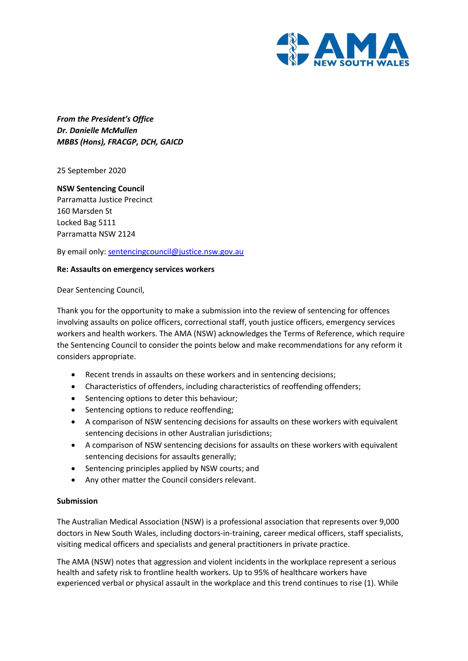

*From the President's Office Dr. Danielle McMullen MBBS (Hons), FRACGP, DCH, GAICD*

25 September 2020

**NSW Sentencing Council**  Parramatta Justice Precinct 160 Marsden St Locked Bag 5111 Parramatta NSW 2124

By email only: sentencingcouncil@justice.nsw.gov.au

## **Re: Assaults on emergency services workers**

Dear Sentencing Council,

Thank you for the opportunity to make a submission into the review of sentencing for offences involving assaults on police officers, correctional staff, youth justice officers, emergency services workers and health workers. The AMA (NSW) acknowledges the Terms of Reference, which require the Sentencing Council to consider the points below and make recommendations for any reform it considers appropriate.

- Recent trends in assaults on these workers and in sentencing decisions;
- Characteristics of offenders, including characteristics of reoffending offenders;
- Sentencing options to deter this behaviour;
- Sentencing options to reduce reoffending;
- A comparison of NSW sentencing decisions for assaults on these workers with equivalent sentencing decisions in other Australian jurisdictions;
- A comparison of NSW sentencing decisions for assaults on these workers with equivalent sentencing decisions for assaults generally;
- Sentencing principles applied by NSW courts; and
- Any other matter the Council considers relevant.

## **Submission**

The Australian Medical Association (NSW) is a professional association that represents over 9,000 doctors in New South Wales, including doctors-in-training, career medical officers, staff specialists, visiting medical officers and specialists and general practitioners in private practice.

The AMA (NSW) notes that aggression and violent incidents in the workplace represent a serious health and safety risk to frontline health workers. Up to 95% of healthcare workers have experienced verbal or physical assault in the workplace and this trend continues to rise (1). While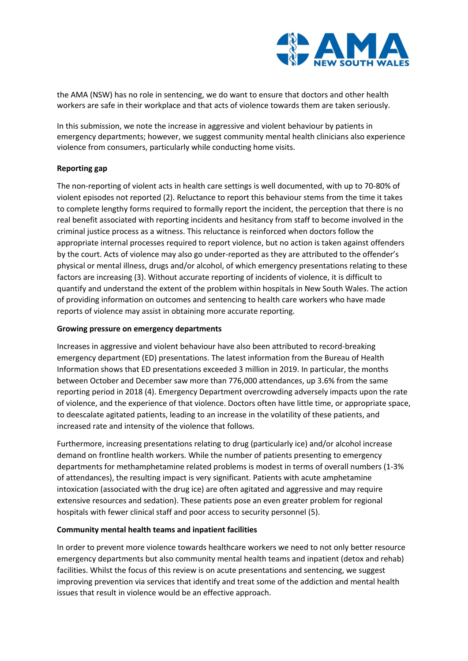

the AMA (NSW) has no role in sentencing, we do want to ensure that doctors and other health workers are safe in their workplace and that acts of violence towards them are taken seriously.

In this submission, we note the increase in aggressive and violent behaviour by patients in emergency departments; however, we suggest community mental health clinicians also experience violence from consumers, particularly while conducting home visits.

# **Reporting gap**

The non-reporting of violent acts in health care settings is well documented, with up to 70-80% of violent episodes not reported (2). Reluctance to report this behaviour stems from the time it takes to complete lengthy forms required to formally report the incident, the perception that there is no real benefit associated with reporting incidents and hesitancy from staff to become involved in the criminal justice process as a witness. This reluctance is reinforced when doctors follow the appropriate internal processes required to report violence, but no action is taken against offenders by the court. Acts of violence may also go under-reported as they are attributed to the offender's physical or mental illness, drugs and/or alcohol, of which emergency presentations relating to these factors are increasing (3). Without accurate reporting of incidents of violence, it is difficult to quantify and understand the extent of the problem within hospitals in New South Wales. The action of providing information on outcomes and sentencing to health care workers who have made reports of violence may assist in obtaining more accurate reporting.

## **Growing pressure on emergency departments**

Increases in aggressive and violent behaviour have also been attributed to record-breaking emergency department (ED) presentations. The latest information from the Bureau of Health Information shows that ED presentations exceeded 3 million in 2019. In particular, the months between October and December saw more than 776,000 attendances, up 3.6% from the same reporting period in 2018 (4). Emergency Department overcrowding adversely impacts upon the rate of violence, and the experience of that violence. Doctors often have little time, or appropriate space, to deescalate agitated patients, leading to an increase in the volatility of these patients, and increased rate and intensity of the violence that follows.

Furthermore, increasing presentations relating to drug (particularly ice) and/or alcohol increase demand on frontline health workers. While the number of patients presenting to emergency departments for methamphetamine related problems is modest in terms of overall numbers (1-3% of attendances), the resulting impact is very significant. Patients with acute amphetamine intoxication (associated with the drug ice) are often agitated and aggressive and may require extensive resources and sedation). These patients pose an even greater problem for regional hospitals with fewer clinical staff and poor access to security personnel (5).

## **Community mental health teams and inpatient facilities**

In order to prevent more violence towards healthcare workers we need to not only better resource emergency departments but also community mental health teams and inpatient (detox and rehab) facilities. Whilst the focus of this review is on acute presentations and sentencing, we suggest improving prevention via services that identify and treat some of the addiction and mental health issues that result in violence would be an effective approach.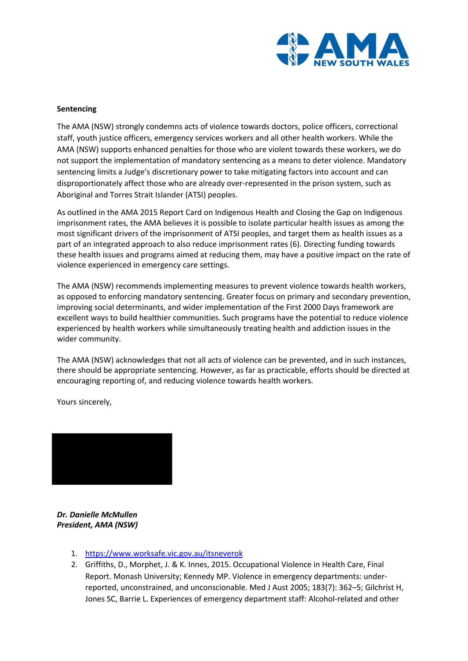

# **Sentencing**

The AMA (NSW) strongly condemns acts of violence towards doctors, police officers, correctional staff, youth justice officers, emergency services workers and all other health workers. While the AMA (NSW) supports enhanced penalties for those who are violent towards these workers, we do not support the implementation of mandatory sentencing as a means to deter violence. Mandatory sentencing limits a Judge's discretionary power to take mitigating factors into account and can disproportionately affect those who are already over-represented in the prison system, such as Aboriginal and Torres Strait Islander (ATSI) peoples.

As outlined in the AMA 2015 Report Card on Indigenous Health and Closing the Gap on Indigenous imprisonment rates, the AMA believes it is possible to isolate particular health issues as among the most significant drivers of the imprisonment of ATSI peoples, and target them as health issues as a part of an integrated approach to also reduce imprisonment rates (6). Directing funding towards these health issues and programs aimed at reducing them, may have a positive impact on the rate of violence experienced in emergency care settings.

The AMA (NSW) recommends implementing measures to prevent violence towards health workers, as opposed to enforcing mandatory sentencing. Greater focus on primary and secondary prevention, improving social determinants, and wider implementation of the First 2000 Days framework are excellent ways to build healthier communities. Such programs have the potential to reduce violence experienced by health workers while simultaneously treating health and addiction issues in the wider community.

The AMA (NSW) acknowledges that not all acts of violence can be prevented, and in such instances, there should be appropriate sentencing. However, as far as practicable, efforts should be directed at encouraging reporting of, and reducing violence towards health workers.

Yours sincerely,



*Dr. Danielle McMullen President, AMA (NSW)*

- 1. https://www.worksafe.vic.gov.au/itsneverok
- 2. Griffiths, D., Morphet, J. & K. Innes, 2015. Occupational Violence in Health Care, Final Report. Monash University; Kennedy MP. Violence in emergency departments: underreported, unconstrained, and unconscionable. Med J Aust 2005; 183(7): 362–5; Gilchrist H, Jones SC, Barrie L. Experiences of emergency department staff: Alcohol-related and other